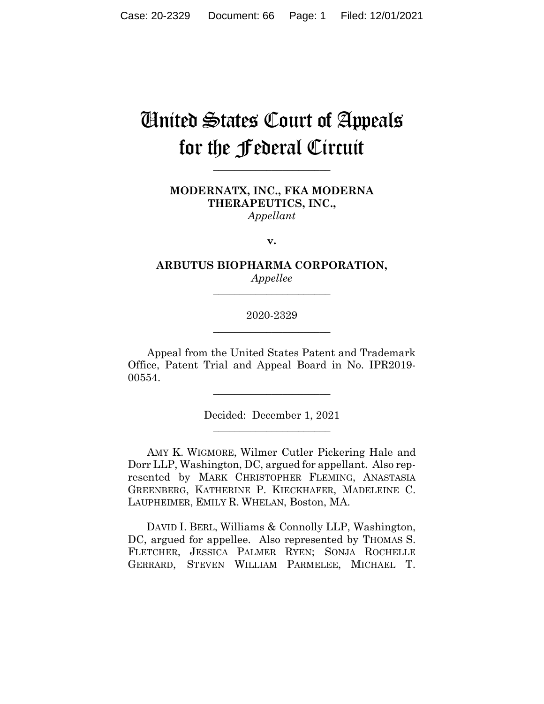# United States Court of Appeals for the Federal Circuit

**\_\_\_\_\_\_\_\_\_\_\_\_\_\_\_\_\_\_\_\_\_\_**

# **MODERNATX, INC., FKA MODERNA THERAPEUTICS, INC.,** *Appellant*

**v.**

# **ARBUTUS BIOPHARMA CORPORATION,** *Appellee*

**\_\_\_\_\_\_\_\_\_\_\_\_\_\_\_\_\_\_\_\_\_\_**

# 2020-2329 **\_\_\_\_\_\_\_\_\_\_\_\_\_\_\_\_\_\_\_\_\_\_**

Appeal from the United States Patent and Trademark Office, Patent Trial and Appeal Board in No. IPR2019- 00554.

> Decided: December 1, 2021  $\overline{\phantom{a}}$  , where  $\overline{\phantom{a}}$  , where  $\overline{\phantom{a}}$  , where  $\overline{\phantom{a}}$

 $\overline{\phantom{a}}$  , where  $\overline{\phantom{a}}$  , where  $\overline{\phantom{a}}$  , where  $\overline{\phantom{a}}$ 

AMY K. WIGMORE, Wilmer Cutler Pickering Hale and Dorr LLP, Washington, DC, argued for appellant. Also represented by MARK CHRISTOPHER FLEMING, ANASTASIA GREENBERG, KATHERINE P. KIECKHAFER, MADELEINE C. LAUPHEIMER, EMILY R. WHELAN, Boston, MA.

 DAVID I. BERL, Williams & Connolly LLP, Washington, DC, argued for appellee. Also represented by THOMAS S. FLETCHER, JESSICA PALMER RYEN; SONJA ROCHELLE GERRARD, STEVEN WILLIAM PARMELEE, MICHAEL T.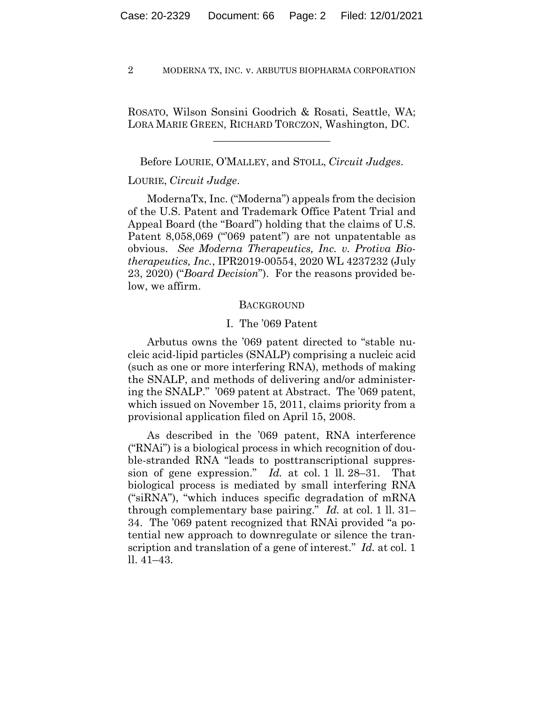ROSATO, Wilson Sonsini Goodrich & Rosati, Seattle, WA; LORA MARIE GREEN, RICHARD TORCZON, Washington, DC.

\_\_\_\_\_\_\_\_\_\_\_\_\_\_\_\_\_\_\_\_\_\_

Before LOURIE, O'MALLEY, and STOLL, *Circuit Judges*.

## LOURIE, *Circuit Judge*.

ModernaTx, Inc. ("Moderna") appeals from the decision of the U.S. Patent and Trademark Office Patent Trial and Appeal Board (the "Board") holding that the claims of U.S. Patent 8,058,069 ("069 patent") are not unpatentable as obvious. *See Moderna Therapeutics, Inc. v. Protiva Biotherapeutics, Inc.*, IPR2019-00554, 2020 WL 4237232 (July 23, 2020) ("*Board Decision*"). For the reasons provided below, we affirm.

### BACKGROUND

## I. The '069 Patent

Arbutus owns the '069 patent directed to "stable nucleic acid-lipid particles (SNALP) comprising a nucleic acid (such as one or more interfering RNA), methods of making the SNALP, and methods of delivering and/or administering the SNALP." '069 patent at Abstract. The '069 patent, which issued on November 15, 2011, claims priority from a provisional application filed on April 15, 2008.

As described in the '069 patent, RNA interference ("RNAi") is a biological process in which recognition of double-stranded RNA "leads to posttranscriptional suppression of gene expression." *Id.* at col. 1 ll. 28–31. That biological process is mediated by small interfering RNA ("siRNA"), "which induces specific degradation of mRNA through complementary base pairing." *Id.* at col. 1 ll. 31– 34. The '069 patent recognized that RNAi provided "a potential new approach to downregulate or silence the transcription and translation of a gene of interest." *Id.* at col. 1 ll. 41–43.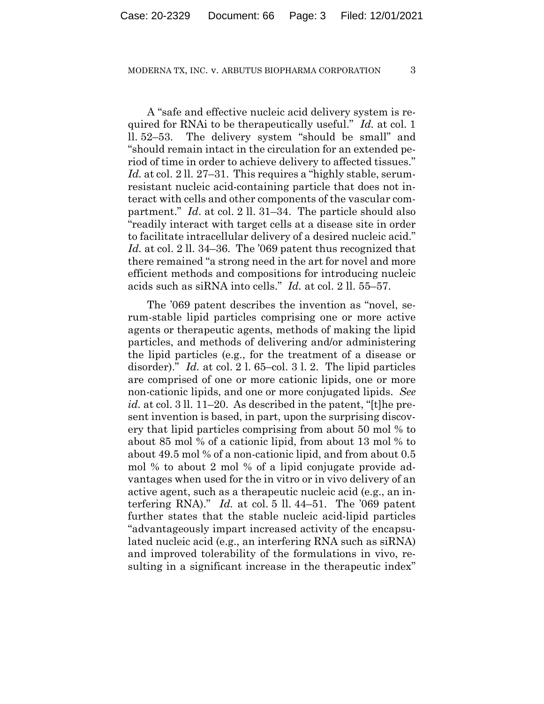A "safe and effective nucleic acid delivery system is required for RNAi to be therapeutically useful." *Id.* at col. 1 ll. 52–53. The delivery system "should be small" and "should remain intact in the circulation for an extended period of time in order to achieve delivery to affected tissues." *Id.* at col. 2 ll. 27–31. This requires a "highly stable, serumresistant nucleic acid-containing particle that does not interact with cells and other components of the vascular compartment." *Id*. at col. 2 ll. 31–34. The particle should also "readily interact with target cells at a disease site in order to facilitate intracellular delivery of a desired nucleic acid." *Id.* at col. 2 ll. 34–36. The '069 patent thus recognized that there remained "a strong need in the art for novel and more efficient methods and compositions for introducing nucleic acids such as siRNA into cells." *Id.* at col. 2 ll. 55–57.

The '069 patent describes the invention as "novel, serum-stable lipid particles comprising one or more active agents or therapeutic agents, methods of making the lipid particles, and methods of delivering and/or administering the lipid particles (e.g., for the treatment of a disease or disorder)." *Id.* at col. 2 l. 65–col. 3 l. 2. The lipid particles are comprised of one or more cationic lipids, one or more non-cationic lipids, and one or more conjugated lipids. *See id.* at col. 3 ll. 11–20. As described in the patent, "[t]he present invention is based, in part, upon the surprising discovery that lipid particles comprising from about 50 mol % to about 85 mol % of a cationic lipid, from about 13 mol % to about 49.5 mol % of a non-cationic lipid, and from about 0.5 mol % to about 2 mol % of a lipid conjugate provide advantages when used for the in vitro or in vivo delivery of an active agent, such as a therapeutic nucleic acid (e.g., an interfering RNA)." *Id.* at col. 5 ll. 44–51. The '069 patent further states that the stable nucleic acid-lipid particles "advantageously impart increased activity of the encapsulated nucleic acid (e.g., an interfering RNA such as siRNA) and improved tolerability of the formulations in vivo, resulting in a significant increase in the therapeutic index"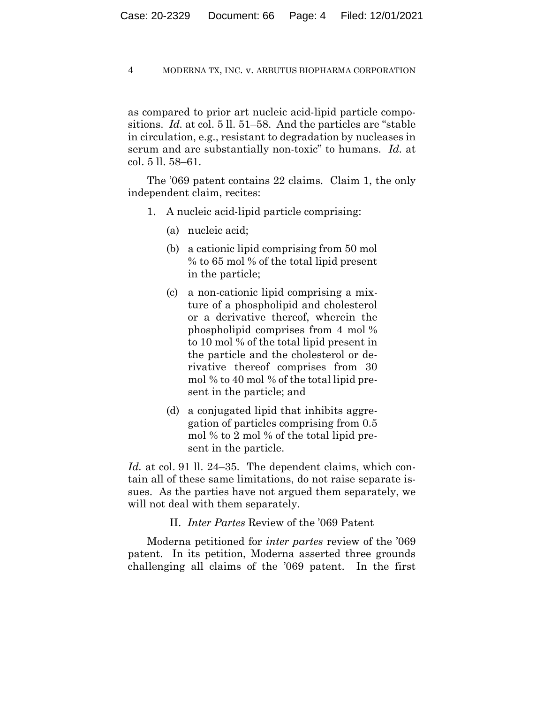as compared to prior art nucleic acid-lipid particle compositions. *Id.* at col. 5 ll. 51–58. And the particles are "stable in circulation, e.g., resistant to degradation by nucleases in serum and are substantially non-toxic" to humans. *Id.* at col. 5 ll. 58–61.

The '069 patent contains 22 claims. Claim 1, the only independent claim, recites:

- 1. A nucleic acid-lipid particle comprising:
	- (a) nucleic acid;
	- (b) a cationic lipid comprising from 50 mol % to 65 mol % of the total lipid present in the particle;
	- (c) a non-cationic lipid comprising a mixture of a phospholipid and cholesterol or a derivative thereof, wherein the phospholipid comprises from 4 mol % to 10 mol % of the total lipid present in the particle and the cholesterol or derivative thereof comprises from 30 mol % to 40 mol % of the total lipid present in the particle; and
	- (d) a conjugated lipid that inhibits aggregation of particles comprising from 0.5 mol % to 2 mol % of the total lipid present in the particle.

*Id.* at col. 91 ll. 24–35. The dependent claims, which contain all of these same limitations, do not raise separate issues. As the parties have not argued them separately, we will not deal with them separately.

II. *Inter Partes* Review of the '069 Patent

Moderna petitioned for *inter partes* review of the '069 patent. In its petition, Moderna asserted three grounds challenging all claims of the '069 patent. In the first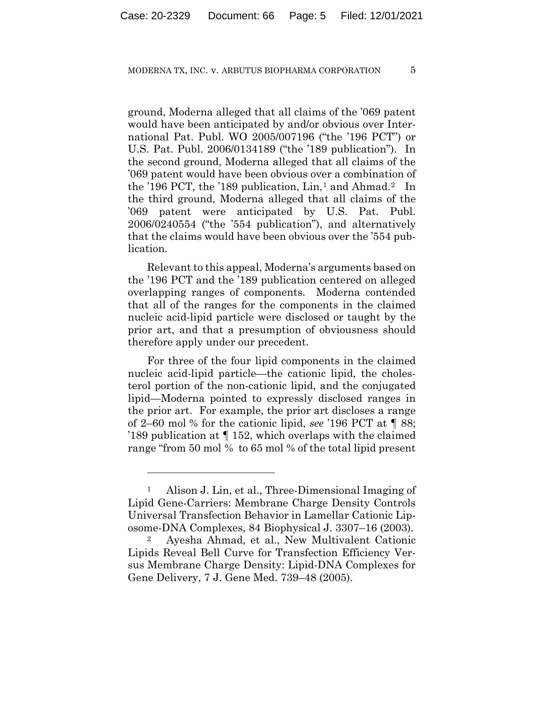ground, Moderna alleged that all claims of the '069 patent would have been anticipated by and/or obvious over International Pat. Publ. WO 2005/007196 ("the '196 PCT") or U.S. Pat. Publ. 2006/0134189 ("the '189 publication"). In the second ground, Moderna alleged that all claims of the '069 patent would have been obvious over a combination of the '196 PCT, the '189 publication,  $Lin<sub>1</sub>$  and Ahmad.<sup>2</sup> In the third ground, Moderna alleged that all claims of the '069 patent were anticipated by U.S. Pat. Publ. 2006/0240554 ("the '554 publication"), and alternatively that the claims would have been obvious over the '554 publication.

Relevant to this appeal, Moderna's arguments based on the '196 PCT and the '189 publication centered on alleged overlapping ranges of components. Moderna contended that all of the ranges for the components in the claimed nucleic acid-lipid particle were disclosed or taught by the prior art, and that a presumption of obviousness should therefore apply under our precedent.

For three of the four lipid components in the claimed nucleic acid-lipid particle—the cationic lipid, the cholesterol portion of the non-cationic lipid, and the conjugated lipid—Moderna pointed to expressly disclosed ranges in the prior art. For example, the prior art discloses a range of 2–60 mol % for the cationic lipid, *see* '196 PCT at ¶ 88; '189 publication at ¶ 152, which overlaps with the claimed range "from 50 mol % to 65 mol % of the total lipid present

<sup>1</sup> Alison J. Lin, et al., Three-Dimensional Imaging of Lipid Gene-Carriers: Membrane Charge Density Controls Universal Transfection Behavior in Lamellar Cationic Liposome-DNA Complexes, 84 Biophysical J. 3307–16 (2003).

<sup>2</sup> Ayesha Ahmad, et al., New Multivalent Cationic Lipids Reveal Bell Curve for Transfection Efficiency Versus Membrane Charge Density: Lipid-DNA Complexes for Gene Delivery, 7 J. Gene Med. 739–48 (2005).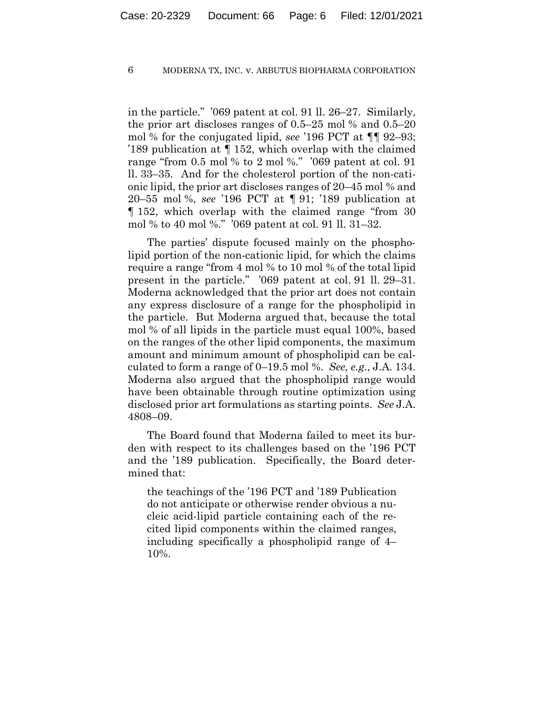in the particle." '069 patent at col. 91 ll. 26–27. Similarly, the prior art discloses ranges of 0.5–25 mol % and 0.5–20 mol % for the conjugated lipid, *see* '196 PCT at ¶¶ 92–93; '189 publication at ¶ 152, which overlap with the claimed range "from 0.5 mol % to 2 mol %." '069 patent at col. 91 ll. 33–35. And for the cholesterol portion of the non-cationic lipid, the prior art discloses ranges of 20–45 mol % and 20–55 mol %, *see* '196 PCT at ¶ 91; '189 publication at ¶ 152, which overlap with the claimed range "from 30 mol % to 40 mol %." '069 patent at col. 91 ll. 31–32.

The parties' dispute focused mainly on the phospholipid portion of the non-cationic lipid, for which the claims require a range "from 4 mol % to 10 mol % of the total lipid present in the particle." '069 patent at col. 91 ll. 29–31. Moderna acknowledged that the prior art does not contain any express disclosure of a range for the phospholipid in the particle. But Moderna argued that, because the total mol % of all lipids in the particle must equal 100%, based on the ranges of the other lipid components, the maximum amount and minimum amount of phospholipid can be calculated to form a range of 0–19.5 mol %. *See, e.g.*, J.A. 134. Moderna also argued that the phospholipid range would have been obtainable through routine optimization using disclosed prior art formulations as starting points. *See* J.A. 4808–09.

The Board found that Moderna failed to meet its burden with respect to its challenges based on the '196 PCT and the '189 publication. Specifically, the Board determined that:

the teachings of the '196 PCT and '189 Publication do not anticipate or otherwise render obvious a nucleic acid-lipid particle containing each of the recited lipid components within the claimed ranges, including specifically a phospholipid range of 4– 10%.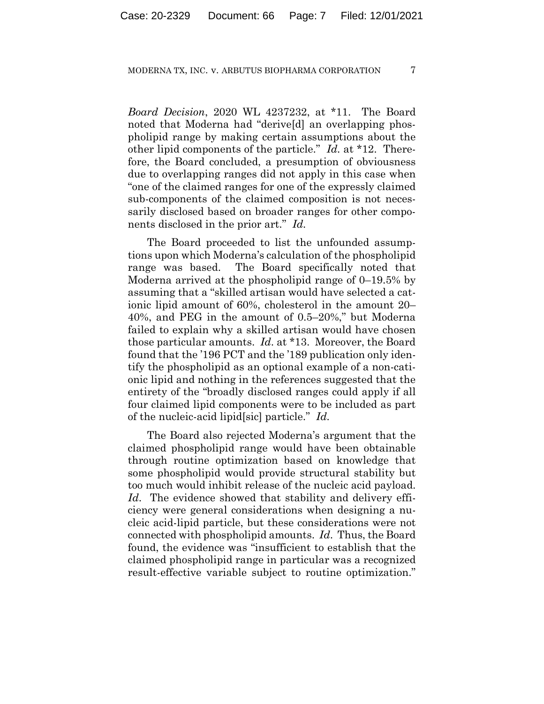*Board Decision*, 2020 WL 4237232, at \*11. The Board noted that Moderna had "derive[d] an overlapping phospholipid range by making certain assumptions about the other lipid components of the particle." *Id.* at \*12. Therefore, the Board concluded, a presumption of obviousness due to overlapping ranges did not apply in this case when "one of the claimed ranges for one of the expressly claimed sub-components of the claimed composition is not necessarily disclosed based on broader ranges for other components disclosed in the prior art." *Id.*

The Board proceeded to list the unfounded assumptions upon which Moderna's calculation of the phospholipid range was based. The Board specifically noted that Moderna arrived at the phospholipid range of 0–19.5% by assuming that a "skilled artisan would have selected a cationic lipid amount of 60%, cholesterol in the amount 20– 40%, and PEG in the amount of 0.5–20%," but Moderna failed to explain why a skilled artisan would have chosen those particular amounts. *Id*. at \*13.Moreover, the Board found that the '196 PCT and the '189 publication only identify the phospholipid as an optional example of a non-cationic lipid and nothing in the references suggested that the entirety of the "broadly disclosed ranges could apply if all four claimed lipid components were to be included as part of the nucleic-acid lipid[sic] particle." *Id.*

The Board also rejected Moderna's argument that the claimed phospholipid range would have been obtainable through routine optimization based on knowledge that some phospholipid would provide structural stability but too much would inhibit release of the nucleic acid payload. *Id*. The evidence showed that stability and delivery efficiency were general considerations when designing a nucleic acid-lipid particle, but these considerations were not connected with phospholipid amounts. *Id*. Thus, the Board found, the evidence was "insufficient to establish that the claimed phospholipid range in particular was a recognized result-effective variable subject to routine optimization."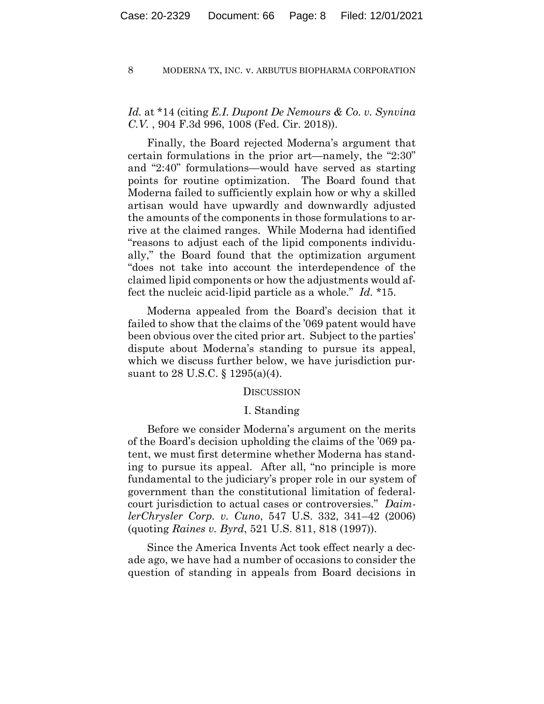# *Id.* at \*14 (citing *E.I. Dupont De Nemours & Co. v. Synvina C.V.* , 904 F.3d 996, 1008 (Fed. Cir. 2018)).

Finally, the Board rejected Moderna's argument that certain formulations in the prior art—namely, the "2:30" and "2:40" formulations—would have served as starting points for routine optimization. The Board found that Moderna failed to sufficiently explain how or why a skilled artisan would have upwardly and downwardly adjusted the amounts of the components in those formulations to arrive at the claimed ranges. While Moderna had identified "reasons to adjust each of the lipid components individually," the Board found that the optimization argument "does not take into account the interdependence of the claimed lipid components or how the adjustments would affect the nucleic acid-lipid particle as a whole." *Id.* \*15.

Moderna appealed from the Board's decision that it failed to show that the claims of the '069 patent would have been obvious over the cited prior art. Subject to the parties' dispute about Moderna's standing to pursue its appeal, which we discuss further below, we have jurisdiction pursuant to 28 U.S.C. § 1295(a)(4).

## **DISCUSSION**

## I. Standing

Before we consider Moderna's argument on the merits of the Board's decision upholding the claims of the '069 patent, we must first determine whether Moderna has standing to pursue its appeal. After all, "no principle is more fundamental to the judiciary's proper role in our system of government than the constitutional limitation of federalcourt jurisdiction to actual cases or controversies." *DaimlerChrysler Corp. v. Cuno*, 547 U.S. 332, 341–42 (2006) (quoting *Raines v. Byrd*, 521 U.S. 811, 818 (1997)).

Since the America Invents Act took effect nearly a decade ago, we have had a number of occasions to consider the question of standing in appeals from Board decisions in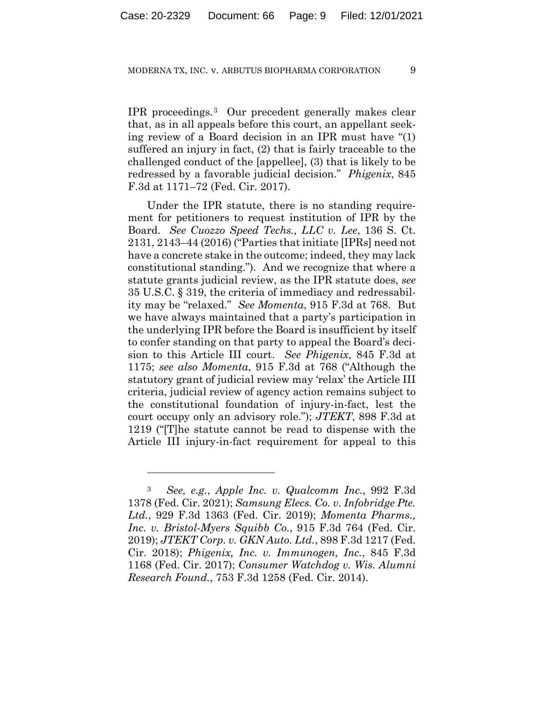IPR proceedings.3 Our precedent generally makes clear that, as in all appeals before this court, an appellant seeking review of a Board decision in an IPR must have "(1) suffered an injury in fact, (2) that is fairly traceable to the challenged conduct of the [appellee], (3) that is likely to be redressed by a favorable judicial decision." *Phigenix*, 845 F.3d at 1171–72 (Fed. Cir. 2017).

Under the IPR statute, there is no standing requirement for petitioners to request institution of IPR by the Board. *See Cuozzo Speed Techs., LLC v. Lee*, 136 S. Ct. 2131, 2143–44 (2016) ("Parties that initiate [IPRs] need not have a concrete stake in the outcome; indeed, they may lack constitutional standing."). And we recognize that where a statute grants judicial review, as the IPR statute does, *see*  35 U.S.C. § 319, the criteria of immediacy and redressability may be "relaxed." *See Momenta*, 915 F.3d at 768. But we have always maintained that a party's participation in the underlying IPR before the Board is insufficient by itself to confer standing on that party to appeal the Board's decision to this Article III court. *See Phigenix*, 845 F.3d at 1175; *see also Momenta*, 915 F.3d at 768 ("Although the statutory grant of judicial review may 'relax' the Article III criteria, judicial review of agency action remains subject to the constitutional foundation of injury-in-fact, lest the court occupy only an advisory role."); *JTEKT*, 898 F.3d at 1219 ("[T]he statute cannot be read to dispense with the Article III injury-in-fact requirement for appeal to this

<sup>3</sup> *See, e.g.*, *Apple Inc. v. Qualcomm Inc.*, 992 F.3d 1378 (Fed. Cir. 2021); *Samsung Elecs. Co. v. Infobridge Pte. Ltd.*, 929 F.3d 1363 (Fed. Cir. 2019); *Momenta Pharms., Inc. v. Bristol-Myers Squibb Co.*, 915 F.3d 764 (Fed. Cir. 2019); *JTEKT Corp. v. GKN Auto. Ltd.*, 898 F.3d 1217 (Fed. Cir. 2018); *Phigenix, Inc. v. Immunogen, Inc.*, 845 F.3d 1168 (Fed. Cir. 2017); *Consumer Watchdog v. Wis. Alumni Research Found.*, 753 F.3d 1258 (Fed. Cir. 2014).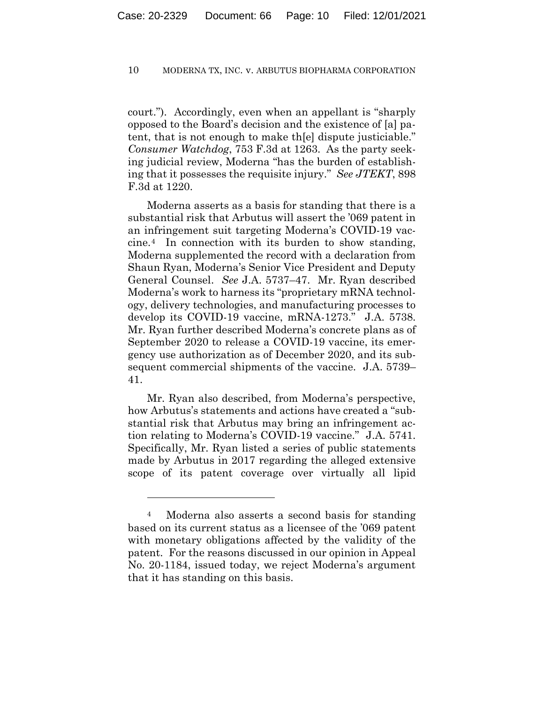court."). Accordingly, even when an appellant is "sharply opposed to the Board's decision and the existence of [a] patent, that is not enough to make th[e] dispute justiciable." *Consumer Watchdog*, 753 F.3d at 1263. As the party seeking judicial review, Moderna "has the burden of establishing that it possesses the requisite injury." *See JTEKT*, 898 F.3d at 1220.

Moderna asserts as a basis for standing that there is a substantial risk that Arbutus will assert the '069 patent in an infringement suit targeting Moderna's COVID-19 vaccine.4 In connection with its burden to show standing, Moderna supplemented the record with a declaration from Shaun Ryan, Moderna's Senior Vice President and Deputy General Counsel. *See* J.A. 5737–47. Mr. Ryan described Moderna's work to harness its "proprietary mRNA technology, delivery technologies, and manufacturing processes to develop its COVID-19 vaccine, mRNA-1273." J.A. 5738. Mr. Ryan further described Moderna's concrete plans as of September 2020 to release a COVID-19 vaccine, its emergency use authorization as of December 2020, and its subsequent commercial shipments of the vaccine. J.A. 5739– 41.

Mr. Ryan also described, from Moderna's perspective, how Arbutus's statements and actions have created a "substantial risk that Arbutus may bring an infringement action relating to Moderna's COVID-19 vaccine." J.A. 5741. Specifically, Mr. Ryan listed a series of public statements made by Arbutus in 2017 regarding the alleged extensive scope of its patent coverage over virtually all lipid

<sup>4</sup> Moderna also asserts a second basis for standing based on its current status as a licensee of the '069 patent with monetary obligations affected by the validity of the patent. For the reasons discussed in our opinion in Appeal No. 20-1184, issued today, we reject Moderna's argument that it has standing on this basis.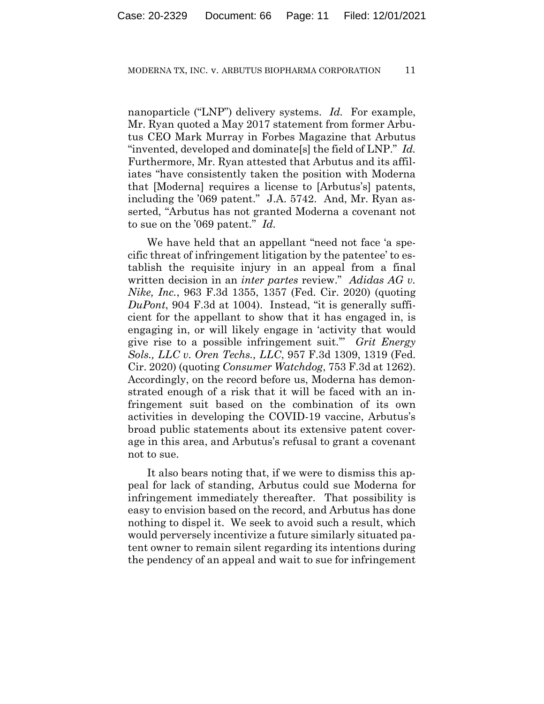nanoparticle ("LNP") delivery systems. *Id.* For example, Mr. Ryan quoted a May 2017 statement from former Arbutus CEO Mark Murray in Forbes Magazine that Arbutus "invented, developed and dominate[s] the field of LNP." *Id.* Furthermore, Mr. Ryan attested that Arbutus and its affiliates "have consistently taken the position with Moderna that [Moderna] requires a license to [Arbutus's] patents, including the '069 patent." J.A. 5742. And, Mr. Ryan asserted, "Arbutus has not granted Moderna a covenant not to sue on the '069 patent." *Id.*

We have held that an appellant "need not face 'a specific threat of infringement litigation by the patentee' to establish the requisite injury in an appeal from a final written decision in an *inter partes* review." *Adidas AG v. Nike, Inc.*, 963 F.3d 1355, 1357 (Fed. Cir. 2020) (quoting *DuPont*, 904 F.3d at 1004). Instead, "it is generally sufficient for the appellant to show that it has engaged in, is engaging in, or will likely engage in 'activity that would give rise to a possible infringement suit.'" *Grit Energy Sols., LLC v. Oren Techs., LLC*, 957 F.3d 1309, 1319 (Fed. Cir. 2020) (quoting *Consumer Watchdog*, 753 F.3d at 1262). Accordingly, on the record before us, Moderna has demonstrated enough of a risk that it will be faced with an infringement suit based on the combination of its own activities in developing the COVID-19 vaccine, Arbutus's broad public statements about its extensive patent coverage in this area, and Arbutus's refusal to grant a covenant not to sue.

It also bears noting that, if we were to dismiss this appeal for lack of standing, Arbutus could sue Moderna for infringement immediately thereafter. That possibility is easy to envision based on the record, and Arbutus has done nothing to dispel it. We seek to avoid such a result, which would perversely incentivize a future similarly situated patent owner to remain silent regarding its intentions during the pendency of an appeal and wait to sue for infringement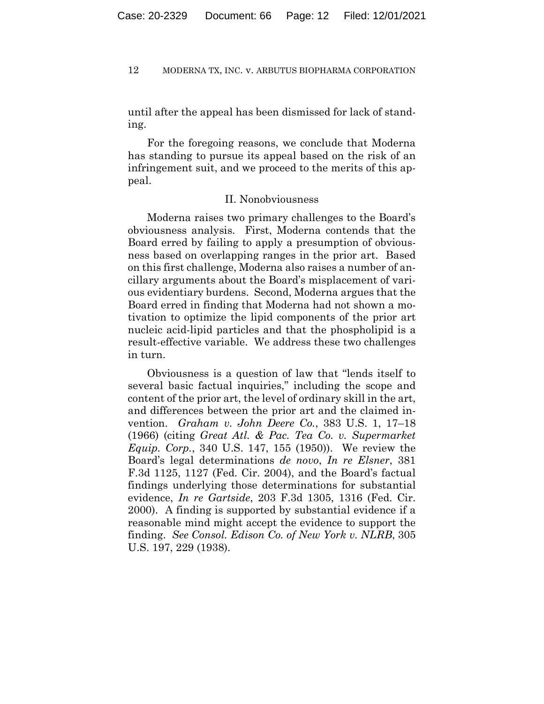until after the appeal has been dismissed for lack of standing.

For the foregoing reasons, we conclude that Moderna has standing to pursue its appeal based on the risk of an infringement suit, and we proceed to the merits of this appeal.

## II. Nonobviousness

Moderna raises two primary challenges to the Board's obviousness analysis. First, Moderna contends that the Board erred by failing to apply a presumption of obviousness based on overlapping ranges in the prior art. Based on this first challenge, Moderna also raises a number of ancillary arguments about the Board's misplacement of various evidentiary burdens. Second, Moderna argues that the Board erred in finding that Moderna had not shown a motivation to optimize the lipid components of the prior art nucleic acid-lipid particles and that the phospholipid is a result-effective variable. We address these two challenges in turn.

Obviousness is a question of law that "lends itself to several basic factual inquiries," including the scope and content of the prior art, the level of ordinary skill in the art, and differences between the prior art and the claimed invention. *Graham v. John Deere Co.*, 383 U.S. 1, 17–18 (1966) (citing *Great Atl. & Pac. Tea Co. v. Supermarket Equip. Corp.*, 340 U.S. 147, 155 (1950)). We review the Board's legal determinations *de novo*, *In re Elsner*, 381 F.3d 1125, 1127 (Fed. Cir. 2004), and the Board's factual findings underlying those determinations for substantial evidence, *In re Gartside*, 203 F.3d 1305, 1316 (Fed. Cir. 2000). A finding is supported by substantial evidence if a reasonable mind might accept the evidence to support the finding. *See Consol. Edison Co. of New York v. NLRB*, 305 U.S. 197, 229 (1938).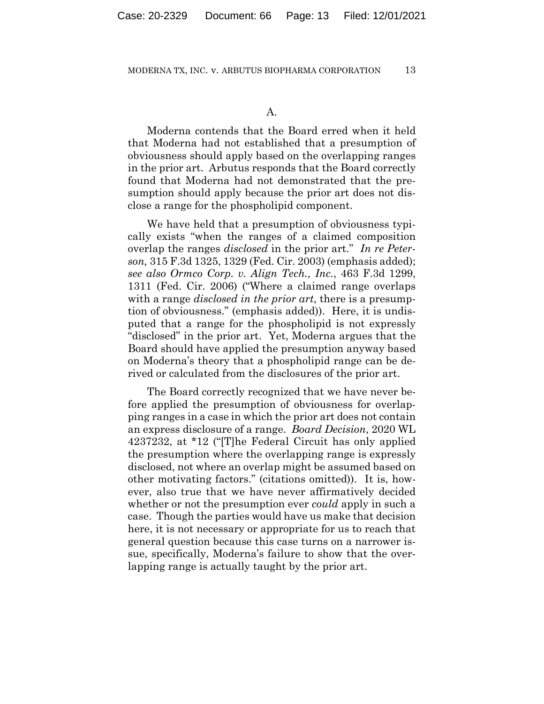Moderna contends that the Board erred when it held that Moderna had not established that a presumption of obviousness should apply based on the overlapping ranges in the prior art. Arbutus responds that the Board correctly found that Moderna had not demonstrated that the presumption should apply because the prior art does not disclose a range for the phospholipid component.

We have held that a presumption of obviousness typically exists "when the ranges of a claimed composition overlap the ranges *disclosed* in the prior art." *In re Peterson,* 315 F.3d 1325, 1329 (Fed. Cir. 2003) (emphasis added); *see also Ormco Corp. v. Align Tech., Inc.*, 463 F.3d 1299, 1311 (Fed. Cir. 2006) ("Where a claimed range overlaps with a range *disclosed in the prior art*, there is a presumption of obviousness." (emphasis added)). Here, it is undisputed that a range for the phospholipid is not expressly "disclosed" in the prior art. Yet, Moderna argues that the Board should have applied the presumption anyway based on Moderna's theory that a phospholipid range can be derived or calculated from the disclosures of the prior art.

The Board correctly recognized that we have never before applied the presumption of obviousness for overlapping ranges in a case in which the prior art does not contain an express disclosure of a range. *Board Decision*, 2020 WL 4237232, at \*12 ("[T]he Federal Circuit has only applied the presumption where the overlapping range is expressly disclosed, not where an overlap might be assumed based on other motivating factors." (citations omitted)). It is, however, also true that we have never affirmatively decided whether or not the presumption ever *could* apply in such a case. Though the parties would have us make that decision here, it is not necessary or appropriate for us to reach that general question because this case turns on a narrower issue, specifically, Moderna's failure to show that the overlapping range is actually taught by the prior art.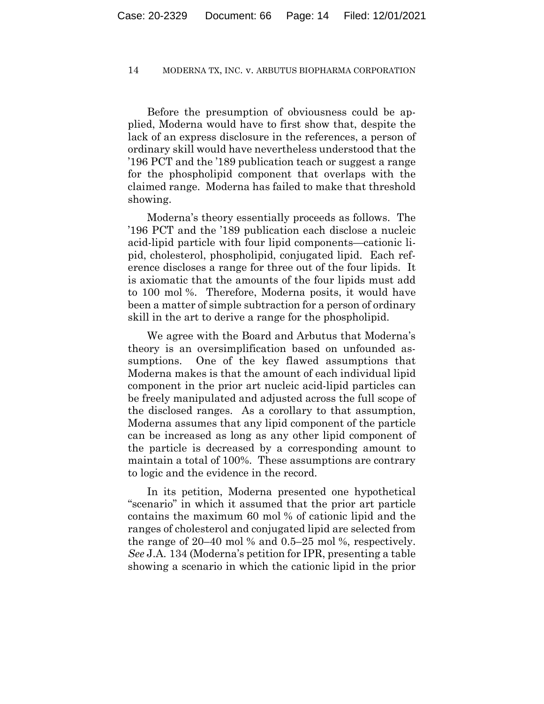Before the presumption of obviousness could be applied, Moderna would have to first show that, despite the lack of an express disclosure in the references, a person of ordinary skill would have nevertheless understood that the '196 PCT and the '189 publication teach or suggest a range for the phospholipid component that overlaps with the claimed range. Moderna has failed to make that threshold showing.

Moderna's theory essentially proceeds as follows. The '196 PCT and the '189 publication each disclose a nucleic acid-lipid particle with four lipid components—cationic lipid, cholesterol, phospholipid, conjugated lipid. Each reference discloses a range for three out of the four lipids. It is axiomatic that the amounts of the four lipids must add to 100 mol %. Therefore, Moderna posits, it would have been a matter of simple subtraction for a person of ordinary skill in the art to derive a range for the phospholipid.

We agree with the Board and Arbutus that Moderna's theory is an oversimplification based on unfounded assumptions. One of the key flawed assumptions that Moderna makes is that the amount of each individual lipid component in the prior art nucleic acid-lipid particles can be freely manipulated and adjusted across the full scope of the disclosed ranges. As a corollary to that assumption, Moderna assumes that any lipid component of the particle can be increased as long as any other lipid component of the particle is decreased by a corresponding amount to maintain a total of 100%. These assumptions are contrary to logic and the evidence in the record.

In its petition, Moderna presented one hypothetical "scenario" in which it assumed that the prior art particle contains the maximum 60 mol % of cationic lipid and the ranges of cholesterol and conjugated lipid are selected from the range of 20–40 mol % and 0.5–25 mol %, respectively. *See* J.A. 134 (Moderna's petition for IPR, presenting a table showing a scenario in which the cationic lipid in the prior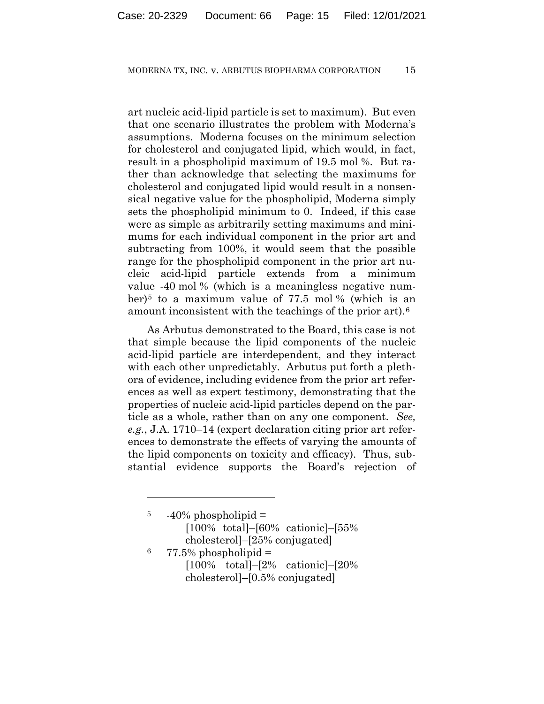art nucleic acid-lipid particle is set to maximum). But even that one scenario illustrates the problem with Moderna's assumptions. Moderna focuses on the minimum selection for cholesterol and conjugated lipid, which would, in fact, result in a phospholipid maximum of 19.5 mol %. But rather than acknowledge that selecting the maximums for cholesterol and conjugated lipid would result in a nonsensical negative value for the phospholipid, Moderna simply sets the phospholipid minimum to 0. Indeed, if this case were as simple as arbitrarily setting maximums and minimums for each individual component in the prior art and subtracting from 100%, it would seem that the possible range for the phospholipid component in the prior art nucleic acid-lipid particle extends from a minimum value -40 mol % (which is a meaningless negative number)<sup>5</sup> to a maximum value of  $77.5$  mol  $\%$  (which is an amount inconsistent with the teachings of the prior art).6

As Arbutus demonstrated to the Board, this case is not that simple because the lipid components of the nucleic acid-lipid particle are interdependent, and they interact with each other unpredictably. Arbutus put forth a plethora of evidence, including evidence from the prior art references as well as expert testimony, demonstrating that the properties of nucleic acid-lipid particles depend on the particle as a whole, rather than on any one component. *See, e.g.*, J.A. 1710–14 (expert declaration citing prior art references to demonstrate the effects of varying the amounts of the lipid components on toxicity and efficacy). Thus, substantial evidence supports the Board's rejection of

 $5 -40\%$  phospholipid  $=$ [100% total]–[60% cationic]–[55% cholesterol]–[25% conjugated]  $6$  77.5% phospholipid  $=$ [100% total]–[2% cationic]–[20%

cholesterol]–[0.5% conjugated]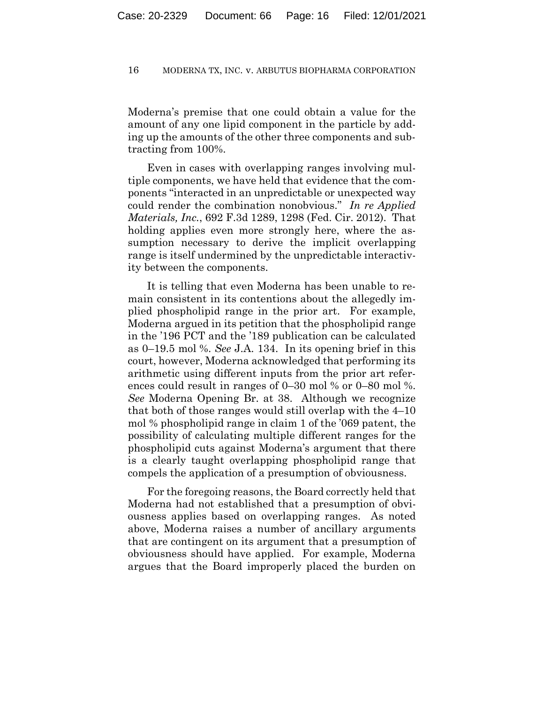Moderna's premise that one could obtain a value for the amount of any one lipid component in the particle by adding up the amounts of the other three components and subtracting from 100%.

Even in cases with overlapping ranges involving multiple components, we have held that evidence that the components "interacted in an unpredictable or unexpected way could render the combination nonobvious." *In re Applied Materials, Inc.*, 692 F.3d 1289, 1298 (Fed. Cir. 2012). That holding applies even more strongly here, where the assumption necessary to derive the implicit overlapping range is itself undermined by the unpredictable interactivity between the components.

It is telling that even Moderna has been unable to remain consistent in its contentions about the allegedly implied phospholipid range in the prior art. For example, Moderna argued in its petition that the phospholipid range in the '196 PCT and the '189 publication can be calculated as 0–19.5 mol %. *See* J.A. 134. In its opening brief in this court, however, Moderna acknowledged that performing its arithmetic using different inputs from the prior art references could result in ranges of 0–30 mol % or 0–80 mol %. *See* Moderna Opening Br. at 38. Although we recognize that both of those ranges would still overlap with the 4–10 mol % phospholipid range in claim 1 of the '069 patent, the possibility of calculating multiple different ranges for the phospholipid cuts against Moderna's argument that there is a clearly taught overlapping phospholipid range that compels the application of a presumption of obviousness.

For the foregoing reasons, the Board correctly held that Moderna had not established that a presumption of obviousness applies based on overlapping ranges. As noted above, Moderna raises a number of ancillary arguments that are contingent on its argument that a presumption of obviousness should have applied. For example, Moderna argues that the Board improperly placed the burden on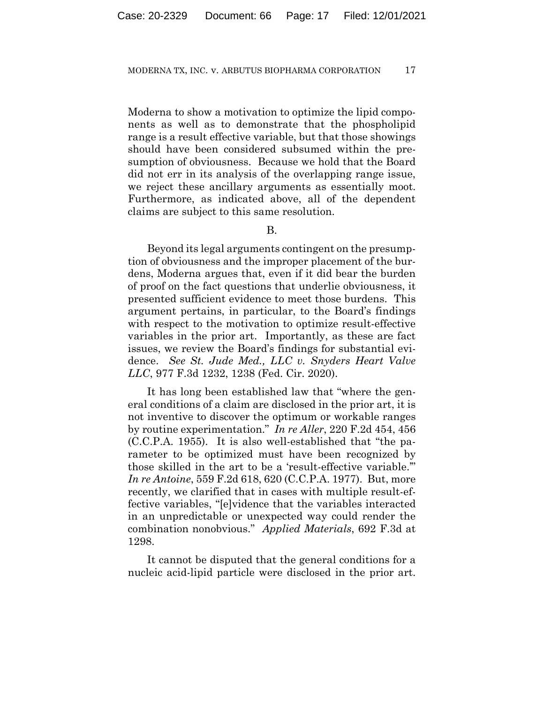Moderna to show a motivation to optimize the lipid components as well as to demonstrate that the phospholipid range is a result effective variable, but that those showings should have been considered subsumed within the presumption of obviousness. Because we hold that the Board did not err in its analysis of the overlapping range issue, we reject these ancillary arguments as essentially moot. Furthermore, as indicated above, all of the dependent claims are subject to this same resolution.

B.

Beyond its legal arguments contingent on the presumption of obviousness and the improper placement of the burdens, Moderna argues that, even if it did bear the burden of proof on the fact questions that underlie obviousness, it presented sufficient evidence to meet those burdens. This argument pertains, in particular, to the Board's findings with respect to the motivation to optimize result-effective variables in the prior art. Importantly, as these are fact issues, we review the Board's findings for substantial evidence. *See St. Jude Med., LLC v. Snyders Heart Valve LLC*, 977 F.3d 1232, 1238 (Fed. Cir. 2020).

It has long been established law that "where the general conditions of a claim are disclosed in the prior art, it is not inventive to discover the optimum or workable ranges by routine experimentation." *In re Aller*, 220 F.2d 454, 456 (C.C.P.A. 1955). It is also well-established that "the parameter to be optimized must have been recognized by those skilled in the art to be a 'result-effective variable.'" *In re Antoine*, 559 F.2d 618, 620 (C.C.P.A. 1977). But, more recently, we clarified that in cases with multiple result-effective variables, "[e]vidence that the variables interacted in an unpredictable or unexpected way could render the combination nonobvious." *Applied Materials*, 692 F.3d at 1298.

It cannot be disputed that the general conditions for a nucleic acid-lipid particle were disclosed in the prior art.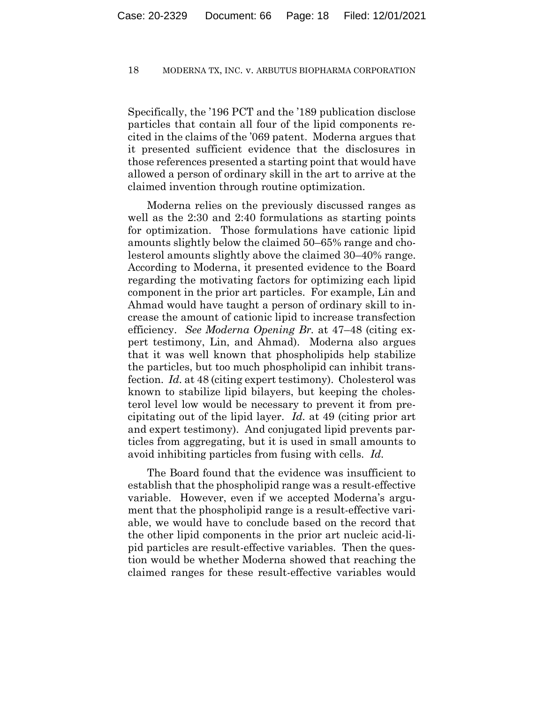Specifically, the '196 PCT and the '189 publication disclose particles that contain all four of the lipid components recited in the claims of the '069 patent. Moderna argues that it presented sufficient evidence that the disclosures in those references presented a starting point that would have allowed a person of ordinary skill in the art to arrive at the claimed invention through routine optimization.

Moderna relies on the previously discussed ranges as well as the 2:30 and 2:40 formulations as starting points for optimization. Those formulations have cationic lipid amounts slightly below the claimed 50–65% range and cholesterol amounts slightly above the claimed 30–40% range. According to Moderna, it presented evidence to the Board regarding the motivating factors for optimizing each lipid component in the prior art particles. For example, Lin and Ahmad would have taught a person of ordinary skill to increase the amount of cationic lipid to increase transfection efficiency. *See Moderna Opening Br.* at 47–48 (citing expert testimony, Lin, and Ahmad). Moderna also argues that it was well known that phospholipids help stabilize the particles, but too much phospholipid can inhibit transfection. *Id.* at 48 (citing expert testimony). Cholesterol was known to stabilize lipid bilayers, but keeping the cholesterol level low would be necessary to prevent it from precipitating out of the lipid layer. *Id.* at 49 (citing prior art and expert testimony). And conjugated lipid prevents particles from aggregating, but it is used in small amounts to avoid inhibiting particles from fusing with cells. *Id.*

The Board found that the evidence was insufficient to establish that the phospholipid range was a result-effective variable. However, even if we accepted Moderna's argument that the phospholipid range is a result-effective variable, we would have to conclude based on the record that the other lipid components in the prior art nucleic acid-lipid particles are result-effective variables. Then the question would be whether Moderna showed that reaching the claimed ranges for these result-effective variables would